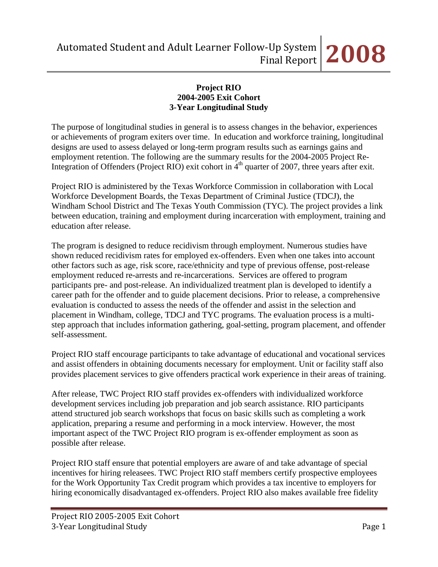#### **Project RIO 2004-2005 Exit Cohort 3-Year Longitudinal Study**

The purpose of longitudinal studies in general is to assess changes in the behavior, experiences or achievements of program exiters over time. In education and workforce training, longitudinal designs are used to assess delayed or long-term program results such as earnings gains and employment retention. The following are the summary results for the 2004-2005 Project Re-Integration of Offenders (Project RIO) exit cohort in  $4<sup>th</sup>$  quarter of 2007, three years after exit.

Project RIO is administered by the Texas Workforce Commission in collaboration with Local Workforce Development Boards, the Texas Department of Criminal Justice (TDCJ), the Windham School District and The Texas Youth Commission (TYC). The project provides a link between education, training and employment during incarceration with employment, training and education after release.

The program is designed to reduce recidivism through employment. Numerous studies have shown reduced recidivism rates for employed ex-offenders. Even when one takes into account other factors such as age, risk score, race/ethnicity and type of previous offense, post-release employment reduced re-arrests and re-incarcerations. Services are offered to program participants pre- and post-release. An individualized treatment plan is developed to identify a career path for the offender and to guide placement decisions. Prior to release, a comprehensive evaluation is conducted to assess the needs of the offender and assist in the selection and placement in Windham, college, TDCJ and TYC programs. The evaluation process is a multistep approach that includes information gathering, goal-setting, program placement, and offender self-assessment.

Project RIO staff encourage participants to take advantage of educational and vocational services and assist offenders in obtaining documents necessary for employment. Unit or facility staff also provides placement services to give offenders practical work experience in their areas of training.

After release, TWC Project RIO staff provides ex-offenders with individualized workforce development services including job preparation and job search assistance. RIO participants attend structured job search workshops that focus on basic skills such as completing a work application, preparing a resume and performing in a mock interview. However, the most important aspect of the TWC Project RIO program is ex-offender employment as soon as possible after release.

Project RIO staff ensure that potential employers are aware of and take advantage of special incentives for hiring releasees. TWC Project RIO staff members certify prospective employees for the Work Opportunity Tax Credit program which provides a tax incentive to employers for hiring economically disadvantaged ex-offenders. Project RIO also makes available free fidelity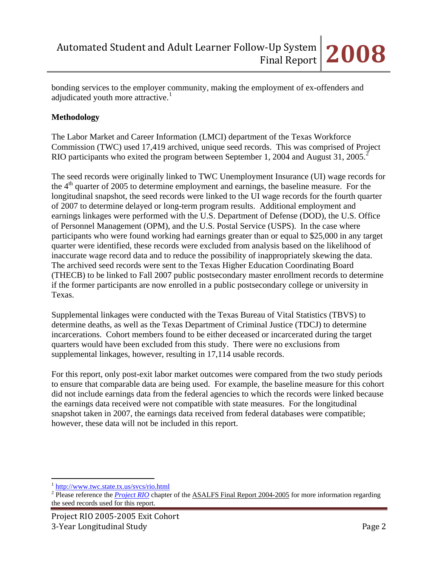bonding services to the employer community, making the employment of ex-offenders and adjudicated youth more attractive.<sup>[1](#page-1-0)</sup>

#### **Methodology**

The Labor Market and Career Information (LMCI) department of the Texas Workforce Commission (TWC) used 17,419 archived, unique seed records. This was comprised of Project RIO participants who exited the program between September 1, [2](#page-1-1)004 and August 31, 2005.<sup>2</sup>

The seed records were originally linked to TWC Unemployment Insurance (UI) wage records for the  $4<sup>th</sup>$  quarter of 2005 to determine employment and earnings, the baseline measure. For the longitudinal snapshot, the seed records were linked to the UI wage records for the fourth quarter of 2007 to determine delayed or long-term program results. Additional employment and earnings linkages were performed with the U.S. Department of Defense (DOD), the U.S. Office of Personnel Management (OPM), and the U.S. Postal Service (USPS). In the case where participants who were found working had earnings greater than or equal to \$25,000 in any target quarter were identified, these records were excluded from analysis based on the likelihood of inaccurate wage record data and to reduce the possibility of inappropriately skewing the data. The archived seed records were sent to the Texas Higher Education Coordinating Board (THECB) to be linked to Fall 2007 public postsecondary master enrollment records to determine if the former participants are now enrolled in a public postsecondary college or university in Texas.

Supplemental linkages were conducted with the Texas Bureau of Vital Statistics (TBVS) to determine deaths, as well as the Texas Department of Criminal Justice (TDCJ) to determine incarcerations. Cohort members found to be either deceased or incarcerated during the target quarters would have been excluded from this study. There were no exclusions from supplemental linkages, however, resulting in 17,114 usable records.

For this report, only post-exit labor market outcomes were compared from the two study periods to ensure that comparable data are being used. For example, the baseline measure for this cohort did not include earnings data from the federal agencies to which the records were linked because the earnings data received were not compatible with state measures. For the longitudinal snapshot taken in 2007, the earnings data received from federal databases were compatible; however, these data will not be included in this report.

 $\overline{a}$ 

<span id="page-1-0"></span><sup>1</sup> <http://www.twc.state.tx.us/svcs/rio.html>

<span id="page-1-1"></span><sup>&</sup>lt;sup>2</sup> Please reference the *[Project RIO](http://www.lmci.state.tx.us/researchers/Automated/Downloads/FinalReport02-03/Project_RIO2004.pdf)* chapter of the ASALFS Final Report 2004-2005 for more information regarding the seed records used for this report.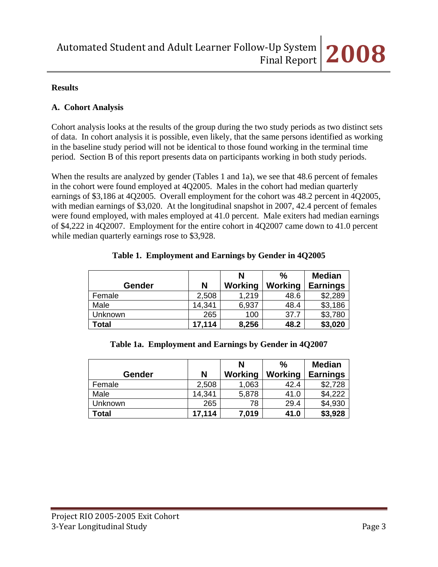#### **Results**

#### **A. Cohort Analysis**

Cohort analysis looks at the results of the group during the two study periods as two distinct sets of data. In cohort analysis it is possible, even likely, that the same persons identified as working in the baseline study period will not be identical to those found working in the terminal time period. Section B of this report presents data on participants working in both study periods.

When the results are analyzed by gender (Tables 1 and 1a), we see that 48.6 percent of females in the cohort were found employed at 4Q2005. Males in the cohort had median quarterly earnings of \$3,186 at 4Q2005. Overall employment for the cohort was 48.2 percent in 4Q2005, with median earnings of \$3,020. At the longitudinal snapshot in 2007, 42.4 percent of females were found employed, with males employed at 41.0 percent. Male exiters had median earnings of \$4,222 in 4Q2007. Employment for the entire cohort in 4Q2007 came down to 41.0 percent while median quarterly earnings rose to \$3,928.

|         |        | N       | $\%$    | <b>Median</b>   |
|---------|--------|---------|---------|-----------------|
| Gender  | N      | Working | Working | <b>Earnings</b> |
| Female  | 2,508  | 1,219   | 48.6    | \$2,289         |
| Male    | 14,341 | 6,937   | 48.4    | \$3,186         |
| Unknown | 265    | 100     | 37.7    | \$3,780         |
| Total   | 17,114 | 8,256   | 48.2    | \$3,020         |

|  | Table 1. Employment and Earnings by Gender in 4Q2005 |  |
|--|------------------------------------------------------|--|
|  |                                                      |  |

#### **Table 1a. Employment and Earnings by Gender in 4Q2007**

|         |        | N       | %              | <b>Median</b>   |
|---------|--------|---------|----------------|-----------------|
| Gender  | N      | Working | <b>Working</b> | <b>Earnings</b> |
| Female  | 2,508  | 1,063   | 42.4           | \$2,728         |
| Male    | 14,341 | 5,878   | 41.0           | \$4,222         |
| Unknown | 265    | 78      | 29.4           | \$4,930         |
| Total   | 17,114 | 7,019   | 41.0           | \$3,928         |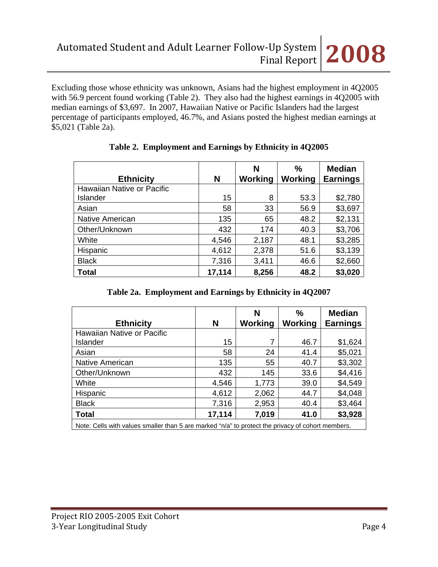Excluding those whose ethnicity was unknown, Asians had the highest employment in 4Q2005 with 56.9 percent found working (Table 2). They also had the highest earnings in 4Q2005 with median earnings of \$3,697. In 2007, Hawaiian Native or Pacific Islanders had the largest percentage of participants employed, 46.7%, and Asians posted the highest median earnings at \$5,021 (Table 2a).

| <b>Ethnicity</b>           | N      | N<br>Working | $\frac{0}{0}$<br>Working | <b>Median</b><br><b>Earnings</b> |
|----------------------------|--------|--------------|--------------------------|----------------------------------|
| Hawaiian Native or Pacific |        |              |                          |                                  |
| Islander                   | 15     | 8            | 53.3                     | \$2,780                          |
| Asian                      | 58     | 33           | 56.9                     | \$3,697                          |
| <b>Native American</b>     | 135    | 65           | 48.2                     | \$2,131                          |
| Other/Unknown              | 432    | 174          | 40.3                     | \$3,706                          |
| White                      | 4,546  | 2,187        | 48.1                     | \$3,285                          |
| Hispanic                   | 4,612  | 2,378        | 51.6                     | \$3,139                          |
| <b>Black</b>               | 7,316  | 3,411        | 46.6                     | \$2,660                          |
| <b>Total</b>               | 17,114 | 8,256        | 48.2                     | \$3,020                          |

# **Table 2. Employment and Earnings by Ethnicity in 4Q2005**

| Table 2a. Employment and Earnings by Ethnicity in 4Q2007 |  |  |
|----------------------------------------------------------|--|--|
|                                                          |  |  |

| <b>Ethnicity</b>                                                                                 | N      | N<br>Working | ℅<br>Working | <b>Median</b><br><b>Earnings</b> |
|--------------------------------------------------------------------------------------------------|--------|--------------|--------------|----------------------------------|
| Hawaiian Native or Pacific                                                                       |        |              |              |                                  |
| Islander                                                                                         | 15     | 7            | 46.7         | \$1,624                          |
| Asian                                                                                            | 58     | 24           | 41.4         | \$5,021                          |
| Native American                                                                                  | 135    | 55           | 40.7         | \$3,302                          |
| Other/Unknown                                                                                    | 432    | 145          | 33.6         | \$4,416                          |
| White                                                                                            | 4,546  | 1,773        | 39.0         | \$4,549                          |
| Hispanic                                                                                         | 4,612  | 2,062        | 44.7         | \$4,048                          |
| <b>Black</b>                                                                                     | 7,316  | 2,953        | 40.4         | \$3,464                          |
| <b>Total</b>                                                                                     | 17,114 | 7,019        | 41.0         | \$3,928                          |
| Note: Calle with values smaller than 5 are marked "n/a" to protect the privacy of cobort members |        |              |              |                                  |

Note: Cells with values smaller than 5 are marked "n/a" to protect the privacy of cohort members.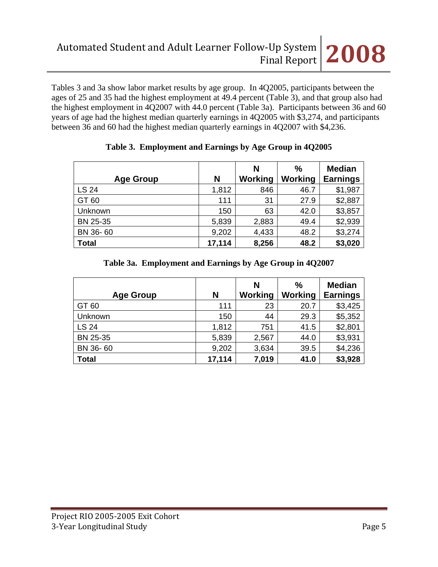Tables 3 and 3a show labor market results by age group. In 4Q2005, participants between the ages of 25 and 35 had the highest employment at 49.4 percent (Table 3), and that group also had the highest employment in 4Q2007 with 44.0 percent (Table 3a). Participants between 36 and 60 years of age had the highest median quarterly earnings in 4Q2005 with \$3,274, and participants between 36 and 60 had the highest median quarterly earnings in 4Q2007 with \$4,236.

| <b>Age Group</b> | N      | N<br>Working | $\frac{0}{0}$<br>Working | <b>Median</b><br><b>Earnings</b> |
|------------------|--------|--------------|--------------------------|----------------------------------|
| <b>LS 24</b>     | 1,812  | 846          | 46.7                     | \$1,987                          |
| GT 60            | 111    | 31           | 27.9                     | \$2,887                          |
| Unknown          | 150    | 63           | 42.0                     | \$3,857                          |
| BN 25-35         | 5,839  | 2,883        | 49.4                     | \$2,939                          |
| BN 36-60         | 9,202  | 4,433        | 48.2                     | \$3,274                          |
| <b>Total</b>     | 17,114 | 8,256        | 48.2                     | \$3,020                          |

#### **Table 3. Employment and Earnings by Age Group in 4Q2005**

# **Table 3a. Employment and Earnings by Age Group in 4Q2007**

| <b>Age Group</b> | N      | N<br>Working | %<br>Working | <b>Median</b><br><b>Earnings</b> |
|------------------|--------|--------------|--------------|----------------------------------|
| GT 60            | 111    | 23           | 20.7         | \$3,425                          |
| Unknown          | 150    | 44           | 29.3         | \$5,352                          |
| <b>LS 24</b>     | 1,812  | 751          | 41.5         | \$2,801                          |
| BN 25-35         | 5,839  | 2,567        | 44.0         | \$3,931                          |
| BN 36-60         | 9,202  | 3,634        | 39.5         | \$4,236                          |
| <b>Total</b>     | 17,114 | 7,019        | 41.0         | \$3,928                          |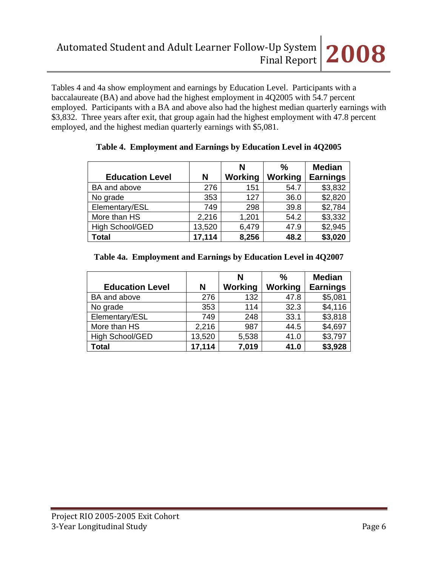Tables 4 and 4a show employment and earnings by Education Level. Participants with a baccalaureate (BA) and above had the highest employment in 4Q2005 with 54.7 percent employed. Participants with a BA and above also had the highest median quarterly earnings with \$3,832. Three years after exit, that group again had the highest employment with 47.8 percent employed, and the highest median quarterly earnings with \$5,081.

|                        |        | N       | $\frac{0}{0}$  | <b>Median</b>   |
|------------------------|--------|---------|----------------|-----------------|
| <b>Education Level</b> | N      | Working | <b>Working</b> | <b>Earnings</b> |
| BA and above           | 276    | 151     | 54.7           | \$3,832         |
| No grade               | 353    | 127     | 36.0           | \$2,820         |
| Elementary/ESL         | 749    | 298     | 39.8           | \$2,784         |
| More than HS           | 2,216  | 1,201   | 54.2           | \$3,332         |
| High School/GED        | 13,520 | 6,479   | 47.9           | \$2,945         |
| <b>Total</b>           | 17,114 | 8,256   | 48.2           | \$3,020         |

#### **Table 4. Employment and Earnings by Education Level in 4Q2005**

#### **Table 4a. Employment and Earnings by Education Level in 4Q2007**

|                        |        | N       | $\frac{0}{0}$ | <b>Median</b>   |
|------------------------|--------|---------|---------------|-----------------|
| <b>Education Level</b> | N      | Working | Working       | <b>Earnings</b> |
| BA and above           | 276    | 132     | 47.8          | \$5,081         |
| No grade               | 353    | 114     | 32.3          | \$4,116         |
| Elementary/ESL         | 749    | 248     | 33.1          | \$3,818         |
| More than HS           | 2,216  | 987     | 44.5          | \$4,697         |
| <b>High School/GED</b> | 13,520 | 5,538   | 41.0          | \$3,797         |
| <b>Total</b>           | 17,114 | 7,019   | 41.0          | \$3,928         |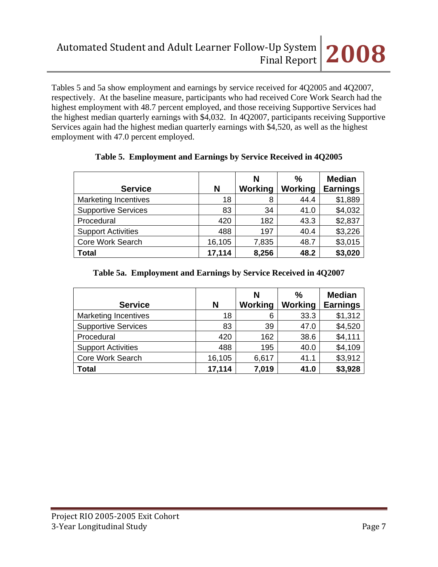Tables 5 and 5a show employment and earnings by service received for 4Q2005 and 4Q2007, respectively. At the baseline measure, participants who had received Core Work Search had the highest employment with 48.7 percent employed, and those receiving Supportive Services had the highest median quarterly earnings with \$4,032. In 4Q2007, participants receiving Supportive Services again had the highest median quarterly earnings with \$4,520, as well as the highest employment with 47.0 percent employed.

| <b>Service</b>              | N      | N<br>Working | ℅<br>Working | <b>Median</b><br><b>Earnings</b> |
|-----------------------------|--------|--------------|--------------|----------------------------------|
| <b>Marketing Incentives</b> | 18     | 8            | 44.4         | \$1,889                          |
| <b>Supportive Services</b>  | 83     | 34           | 41.0         | \$4,032                          |
| Procedural                  | 420    | 182          | 43.3         | \$2,837                          |
| <b>Support Activities</b>   | 488    | 197          | 40.4         | \$3,226                          |
| Core Work Search            | 16,105 | 7,835        | 48.7         | \$3,015                          |
| <b>Total</b>                | 17,114 | 8,256        | 48.2         | \$3,020                          |

#### **Table 5. Employment and Earnings by Service Received in 4Q2005**

#### **Table 5a. Employment and Earnings by Service Received in 4Q2007**

| <b>Service</b>              | N      | N<br>Working | $\%$<br>Working | <b>Median</b><br><b>Earnings</b> |
|-----------------------------|--------|--------------|-----------------|----------------------------------|
| <b>Marketing Incentives</b> | 18     | 6            | 33.3            | \$1,312                          |
| <b>Supportive Services</b>  | 83     | 39           | 47.0            | \$4,520                          |
| Procedural                  | 420    | 162          | 38.6            | \$4,111                          |
| <b>Support Activities</b>   | 488    | 195          | 40.0            | \$4,109                          |
| <b>Core Work Search</b>     | 16,105 | 6,617        | 41.1            | \$3,912                          |
| <b>Total</b>                | 17,114 | 7,019        | 41.0            | \$3,928                          |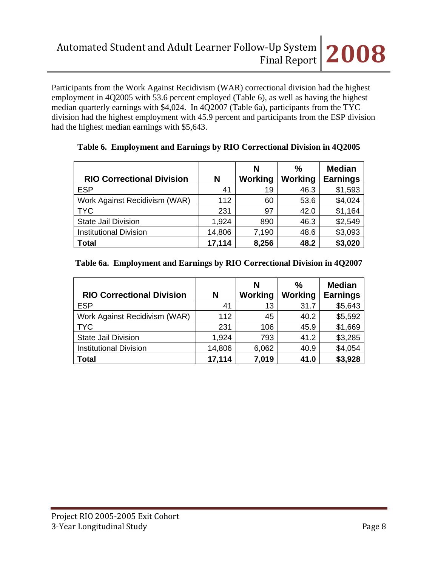Participants from the Work Against Recidivism (WAR) correctional division had the highest employment in 4Q2005 with 53.6 percent employed (Table 6), as well as having the highest median quarterly earnings with \$4,024. In 4Q2007 (Table 6a), participants from the TYC division had the highest employment with 45.9 percent and participants from the ESP division had the highest median earnings with \$5,643.

|                                  |        | N       | ℅       | <b>Median</b>   |
|----------------------------------|--------|---------|---------|-----------------|
| <b>RIO Correctional Division</b> | N      | Working | Working | <b>Earnings</b> |
| <b>ESP</b>                       | 41     | 19      | 46.3    | \$1,593         |
| Work Against Recidivism (WAR)    | 112    | 60      | 53.6    | \$4,024         |
| <b>TYC</b>                       | 231    | 97      | 42.0    | \$1,164         |
| <b>State Jail Division</b>       | 1.924  | 890     | 46.3    | \$2,549         |
| <b>Institutional Division</b>    | 14,806 | 7,190   | 48.6    | \$3,093         |
| <b>Total</b>                     | 17,114 | 8,256   | 48.2    | \$3,020         |

#### **Table 6. Employment and Earnings by RIO Correctional Division in 4Q2005**

#### **Table 6a. Employment and Earnings by RIO Correctional Division in 4Q2007**

| <b>RIO Correctional Division</b> | N      | N<br>Working | $\frac{0}{0}$<br><b>Working</b> | <b>Median</b><br><b>Earnings</b> |
|----------------------------------|--------|--------------|---------------------------------|----------------------------------|
| <b>ESP</b>                       | 41     | 13           | 31.7                            | \$5,643                          |
| Work Against Recidivism (WAR)    | 112    | 45           | 40.2                            | \$5,592                          |
| <b>TYC</b>                       | 231    | 106          | 45.9                            | \$1,669                          |
| <b>State Jail Division</b>       | 1,924  | 793          | 41.2                            | \$3,285                          |
| <b>Institutional Division</b>    | 14,806 | 6,062        | 40.9                            | \$4,054                          |
| <b>Total</b>                     | 17,114 | 7,019        | 41.0                            | \$3,928                          |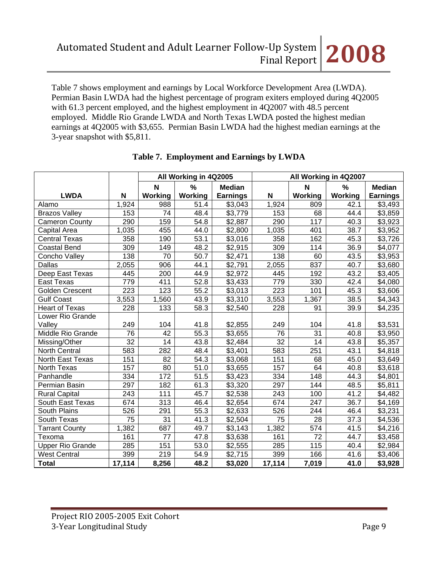Table 7 shows employment and earnings by Local Workforce Development Area (LWDA). Permian Basin LWDA had the highest percentage of program exiters employed during 4Q2005 with 61.3 percent employed, and the highest employment in 4Q2007 with 48.5 percent employed. Middle Rio Grande LWDA and North Texas LWDA posted the highest median earnings at 4Q2005 with \$3,655. Permian Basin LWDA had the highest median earnings at the 3-year snapshot with \$5,811.

|                         |                 |                 | All Working in 4Q2005 |                 |                 | All Working in 4Q2007 |         |                 |  |
|-------------------------|-----------------|-----------------|-----------------------|-----------------|-----------------|-----------------------|---------|-----------------|--|
|                         |                 | $\mathbf N$     | $\frac{0}{0}$         | <b>Median</b>   |                 | $\mathbf N$           | %       | <b>Median</b>   |  |
| <b>LWDA</b>             | N               | Working         | Working               | <b>Earnings</b> | N               | Working               | Working | <b>Earnings</b> |  |
| Alamo                   | 1,924           | 988             | 51.4                  | \$3,043         | 1,924           | 809                   | 42.1    | \$3,493         |  |
| <b>Brazos Valley</b>    | 153             | 74              | 48.4                  | \$3,779         | 153             | 68                    | 44.4    | \$3,859         |  |
| <b>Cameron County</b>   | 290             | 159             | 54.8                  | \$2,887         | 290             | 117                   | 40.3    | \$3,923         |  |
| Capital Area            | 1,035           | 455             | 44.0                  | \$2,800         | 1,035           | 401                   | 38.7    | \$3,952         |  |
| <b>Central Texas</b>    | 358             | 190             | 53.1                  | \$3,016         | 358             | 162                   | 45.3    | \$3,726         |  |
| <b>Coastal Bend</b>     | 309             | 149             | 48.2                  | \$2,915         | 309             | 114                   | 36.9    | \$4,077         |  |
| Concho Valley           | 138             | 70              | 50.7                  | \$2,471         | 138             | 60                    | 43.5    | \$3,953         |  |
| Dallas                  | 2,055           | 906             | 44.1                  | \$2,791         | 2,055           | 837                   | 40.7    | \$3,680         |  |
| Deep East Texas         | 445             | 200             | 44.9                  | \$2,972         | 445             | 192                   | 43.2    | \$3,405         |  |
| <b>East Texas</b>       | 779             | 411             | 52.8                  | \$3,433         | 779             | 330                   | 42.4    | \$4,080         |  |
| Golden Crescent         | 223             | 123             | 55.2                  | \$3,013         | 223             | 101                   | 45.3    | \$3,606         |  |
| Gulf Coast              | 3,553           | 1,560           | 43.9                  | \$3,310         | 3,553           | 1,367                 | 38.5    | \$4,343         |  |
| Heart of Texas          | 228             | 133             | 58.3                  | \$2,540         | 228             | 91                    | 39.9    | \$4,235         |  |
| Lower Rio Grande        |                 |                 |                       |                 |                 |                       |         |                 |  |
| Valley                  | 249             | 104             | 41.8                  | \$2,855         | 249             | 104                   | 41.8    | \$3,531         |  |
| Middle Rio Grande       | $\overline{76}$ | 42              | $\overline{55.3}$     | \$3,655         | 76              | 31                    | 40.8    | \$3,950         |  |
| Missing/Other           | $\overline{32}$ | $\overline{14}$ | 43.8                  | \$2,484         | $\overline{32}$ | 14                    | 43.8    | \$5,357         |  |
| <b>North Central</b>    | 583             | 282             | 48.4                  | \$3,401         | 583             | 251                   | 43.1    | \$4,818         |  |
| North East Texas        | 151             | 82              | 54.3                  | \$3,068         | 151             | 68                    | 45.0    | \$3,649         |  |
| North Texas             | 157             | 80              | 51.0                  | \$3,655         | 157             | 64                    | 40.8    | \$3,618         |  |
| Panhandle               | 334             | 172             | 51.5                  | \$3,423         | 334             | 148                   | 44.3    | \$4,801         |  |
| Permian Basin           | 297             | 182             | 61.3                  | \$3,320         | 297             | 144                   | 48.5    | \$5,811         |  |
| <b>Rural Capital</b>    | 243             | 111             | 45.7                  | \$2,538         | 243             | 100                   | 41.2    | \$4,482         |  |
| South East Texas        | 674             | 313             | 46.4                  | \$2,654         | 674             | 247                   | 36.7    | \$4,169         |  |
| South Plains            | 526             | 291             | 55.3                  | \$2,633         | 526             | 244                   | 46.4    | \$3,231         |  |
| South Texas             | 75              | $\overline{31}$ | $\overline{4}1.3$     | \$2,504         | $\overline{75}$ | $\overline{28}$       | 37.3    | \$4,536         |  |
| <b>Tarrant County</b>   | 1,382           | 687             | 49.7                  | \$3,143         | 1,382           | 574                   | 41.5    | \$4,216         |  |
| Texoma                  | 161             | 77              | 47.8                  | \$3,638         | 161             | 72                    | 44.7    | \$3,458         |  |
| <b>Upper Rio Grande</b> | 285             | 151             | 53.0                  | \$2,555         | 285             | 115                   | 40.4    | \$2,984         |  |
| <b>West Central</b>     | 399             | 219             | 54.9                  | \$2,715         | 399             | 166                   | 41.6    | \$3,406         |  |
| <b>Total</b>            | 17,114          | 8,256           | 48.2                  | \$3,020         | 17,114          | 7,019                 | 41.0    | \$3,928         |  |

# **Table 7. Employment and Earnings by LWDA**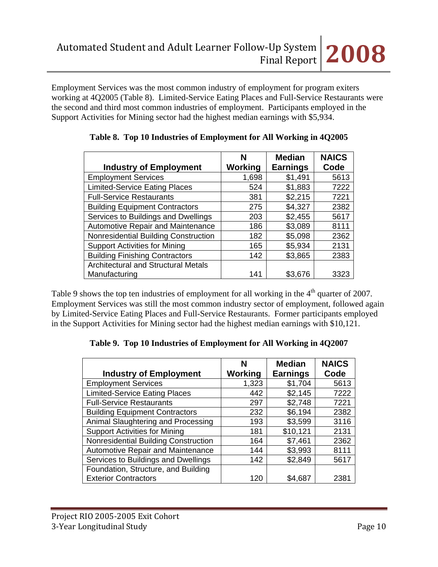Employment Services was the most common industry of employment for program exiters working at 4Q2005 (Table 8). Limited-Service Eating Places and Full-Service Restaurants were the second and third most common industries of employment. Participants employed in the Support Activities for Mining sector had the highest median earnings with \$5,934.

|                                            | N       | <b>Median</b>   | <b>NAICS</b> |
|--------------------------------------------|---------|-----------------|--------------|
| <b>Industry of Employment</b>              | Working | <b>Earnings</b> | Code         |
| <b>Employment Services</b>                 | 1,698   | \$1,491         | 5613         |
| <b>Limited-Service Eating Places</b>       | 524     | \$1,883         | 7222         |
| <b>Full-Service Restaurants</b>            | 381     | \$2,215         | 7221         |
| <b>Building Equipment Contractors</b>      | 275     | \$4,327         | 2382         |
| Services to Buildings and Dwellings        | 203     | \$2,455         | 5617         |
| Automotive Repair and Maintenance          | 186     | \$3,089         | 8111         |
| Nonresidential Building Construction       | 182     | \$5,098         | 2362         |
| <b>Support Activities for Mining</b>       | 165     | \$5,934         | 2131         |
| <b>Building Finishing Contractors</b>      | 142     | \$3,865         | 2383         |
| <b>Architectural and Structural Metals</b> |         |                 |              |
| Manufacturing                              | 141     | \$3,676         | 3323         |

|  |  |  | Table 8. Top 10 Industries of Employment for All Working in 4Q2005 |  |  |
|--|--|--|--------------------------------------------------------------------|--|--|
|--|--|--|--------------------------------------------------------------------|--|--|

Table 9 shows the top ten industries of employment for all working in the  $4<sup>th</sup>$  quarter of 2007. Employment Services was still the most common industry sector of employment, followed again by Limited-Service Eating Places and Full-Service Restaurants. Former participants employed in the Support Activities for Mining sector had the highest median earnings with \$10,121.

**Table 9. Top 10 Industries of Employment for All Working in 4Q2007** 

|                                          | N       | <b>Median</b>   | <b>NAICS</b> |
|------------------------------------------|---------|-----------------|--------------|
| <b>Industry of Employment</b>            | Working | <b>Earnings</b> | Code         |
| <b>Employment Services</b>               | 1,323   | \$1,704         | 5613         |
| <b>Limited-Service Eating Places</b>     | 442     | \$2,145         | 7222         |
| <b>Full-Service Restaurants</b>          | 297     | \$2,748         | 7221         |
| <b>Building Equipment Contractors</b>    | 232     | \$6,194         | 2382         |
| Animal Slaughtering and Processing       | 193     | \$3,599         | 3116         |
| <b>Support Activities for Mining</b>     | 181     | \$10,121        | 2131         |
| Nonresidential Building Construction     | 164     | \$7,461         | 2362         |
| <b>Automotive Repair and Maintenance</b> | 144     | \$3,993         | 8111         |
| Services to Buildings and Dwellings      | 142     | \$2,849         | 5617         |
| Foundation, Structure, and Building      |         |                 |              |
| <b>Exterior Contractors</b>              | 120     | \$4,687         | 2381         |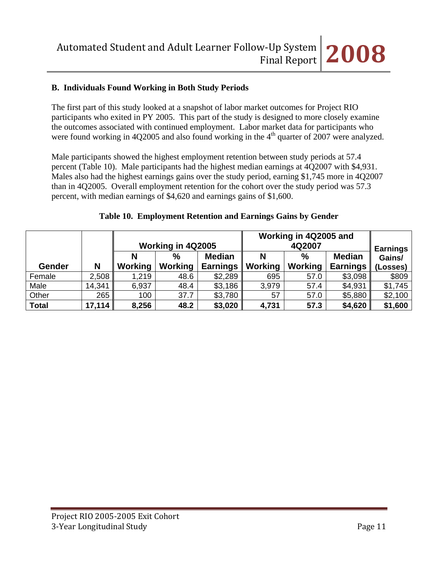## **B. Individuals Found Working in Both Study Periods**

The first part of this study looked at a snapshot of labor market outcomes for Project RIO participants who exited in PY 2005. This part of the study is designed to more closely examine the outcomes associated with continued employment. Labor market data for participants who were found working in 4Q2005 and also found working in the  $4<sup>th</sup>$  quarter of 2007 were analyzed.

Male participants showed the highest employment retention between study periods at 57.4 percent (Table 10). Male participants had the highest median earnings at 4Q2007 with \$4,931. Males also had the highest earnings gains over the study period, earning \$1,745 more in 4Q2007 than in 4Q2005. Overall employment retention for the cohort over the study period was 57.3 percent, with median earnings of \$4,620 and earnings gains of \$1,600.

|              |        |         |                            |                 | Working in 4Q2005 and |                |                           |          |  |
|--------------|--------|---------|----------------------------|-----------------|-----------------------|----------------|---------------------------|----------|--|
|              |        |         | Working in 4Q2005          |                 |                       | 4Q2007         |                           |          |  |
|              |        | Ν       | <b>Median</b><br>$\%$<br>% |                 |                       | <b>Median</b>  | <b>Earnings</b><br>Gains/ |          |  |
| Gender       | N      | Working | <b>Working</b>             | <b>Earnings</b> | Working               | <b>Working</b> | <b>Earnings</b>           | (Losses) |  |
| Female       | 2,508  | 1,219   | 48.6                       | \$2,289         | 695                   | 57.0           | \$3,098                   | \$809    |  |
| Male         | 14,341 | 6,937   | 48.4                       | \$3,186         | 3,979                 | 57.4           | \$4,931                   | \$1,745  |  |
| Other        | 265    | 100     | 37.7                       | \$3,780         | 57                    | 57.0           | \$5,880                   | \$2,100  |  |
| <b>Total</b> | 17,114 | 8,256   | 48.2                       | \$3,020         | 4,731                 | 57.3           | \$4,620                   | \$1,600  |  |

#### **Table 10. Employment Retention and Earnings Gains by Gender**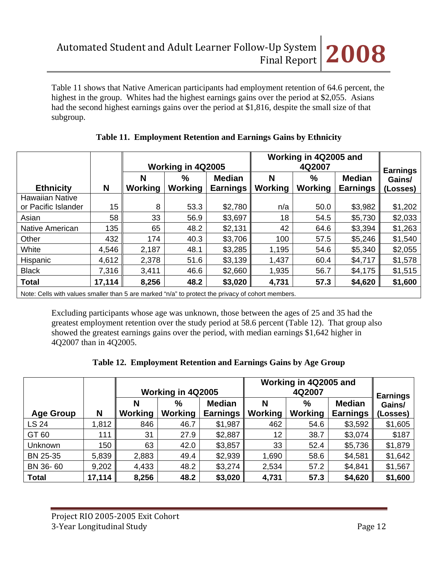Table 11 shows that Native American participants had employment retention of 64.6 percent, the highest in the group. Whites had the highest earnings gains over the period at \$2,055. Asians had the second highest earnings gains over the period at \$1,816, despite the small size of that subgroup.

|                                               |        |              | Working in 4Q2005        |                                  |              | Working in 4Q2005 and<br>4Q2007 |                                  |                                       |  |
|-----------------------------------------------|--------|--------------|--------------------------|----------------------------------|--------------|---------------------------------|----------------------------------|---------------------------------------|--|
| <b>Ethnicity</b>                              | N      | N<br>Working | $\frac{0}{0}$<br>Working | <b>Median</b><br><b>Earnings</b> | Ν<br>Working | %<br><b>Working</b>             | <b>Median</b><br><b>Earnings</b> | <b>Earnings</b><br>Gains/<br>(Losses) |  |
| <b>Hawaiian Native</b><br>or Pacific Islander | 15     | 8            | 53.3                     | \$2,780                          | n/a          | 50.0                            | \$3,982                          | \$1,202                               |  |
| Asian                                         | 58     | 33           | 56.9                     | \$3,697                          | 18           | 54.5                            | \$5,730                          | \$2,033                               |  |
| <b>Native American</b>                        | 135    | 65           | 48.2                     | \$2,131                          | 42           | 64.6                            | \$3,394                          | \$1,263                               |  |
| Other                                         | 432    | 174          | 40.3                     | \$3,706                          | 100          | 57.5                            | \$5,246                          | \$1,540                               |  |
| White                                         | 4,546  | 2,187        | 48.1                     | \$3,285                          | 1,195        | 54.6                            | \$5,340                          | \$2,055                               |  |
| Hispanic                                      | 4,612  | 2,378        | 51.6                     | \$3,139                          | 1,437        | 60.4                            | \$4,717                          | \$1,578                               |  |
| <b>Black</b>                                  | 7,316  | 3,411        | 46.6                     | \$2,660                          | 1,935        | 56.7                            | \$4,175                          | \$1,515                               |  |
| <b>Total</b>                                  | 17,114 | 8,256        | 48.2                     | \$3,020                          | 4,731        | 57.3                            | \$4,620                          | \$1,600                               |  |

#### **Table 11. Employment Retention and Earnings Gains by Ethnicity**

Note: Cells with values smaller than 5 are marked "n/a" to protect the privacy of cohort members.

Excluding participants whose age was unknown, those between the ages of 25 and 35 had the greatest employment retention over the study period at 58.6 percent (Table 12). That group also showed the greatest earnings gains over the period, with median earnings \$1,642 higher in 4Q2007 than in 4Q2005.

|  | Table 12. Employment Retention and Earnings Gains by Age Group |  |  |
|--|----------------------------------------------------------------|--|--|
|  |                                                                |  |  |

|                  |        |                     | Working in 4Q2005      |                                  |                     | Working in 4Q2005 and<br>4Q2007 |                                  |                                       |  |
|------------------|--------|---------------------|------------------------|----------------------------------|---------------------|---------------------------------|----------------------------------|---------------------------------------|--|
| <b>Age Group</b> | N      | N<br><b>Working</b> | $\%$<br><b>Working</b> | <b>Median</b><br><b>Earnings</b> | N<br><b>Working</b> | $\%$<br><b>Working</b>          | <b>Median</b><br><b>Earnings</b> | <b>Earnings</b><br>Gains/<br>(Losses) |  |
| LS 24            | 1,812  | 846                 | 46.7                   | \$1,987                          | 462                 | 54.6                            | \$3,592                          | \$1,605                               |  |
| GT 60            | 111    | 31                  | 27.9                   | \$2,887                          | 12                  | 38.7                            | \$3,074                          | \$187                                 |  |
| <b>Unknown</b>   | 150    | 63                  | 42.0                   | \$3,857                          | 33                  | 52.4                            | \$5,736                          | \$1,879                               |  |
| BN 25-35         | 5,839  | 2,883               | 49.4                   | \$2,939                          | 1,690               | 58.6                            | \$4,581                          | \$1,642                               |  |
| BN 36-60         | 9,202  | 4,433               | 48.2                   | \$3,274                          | 2,534               | 57.2                            | \$4,841                          | \$1,567                               |  |
| <b>Total</b>     | 17,114 | 8,256               | 48.2                   | \$3,020                          | 4,731               | 57.3                            | \$4,620                          | \$1,600                               |  |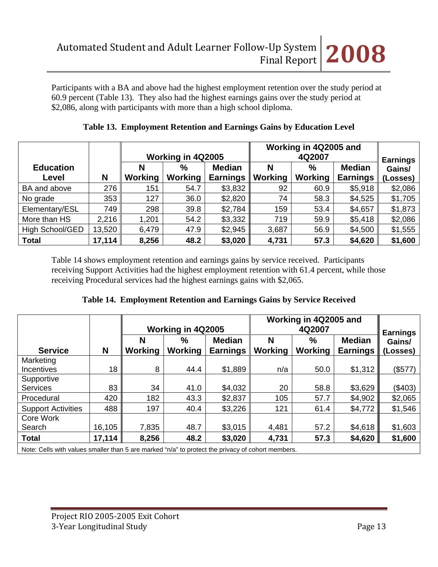Participants with a BA and above had the highest employment retention over the study period at 60.9 percent (Table 13). They also had the highest earnings gains over the study period at \$2,086, along with participants with more than a high school diploma.

|                  |        | Working in 4Q2005 and |                   |                 |                |         |                 |                           |  |
|------------------|--------|-----------------------|-------------------|-----------------|----------------|---------|-----------------|---------------------------|--|
|                  |        |                       | Working in 4Q2005 |                 |                | 4Q2007  |                 |                           |  |
| <b>Education</b> |        | N                     | $\%$              | <b>Median</b>   | N              | %       | <b>Median</b>   | <b>Earnings</b><br>Gains/ |  |
| Level            | N      | <b>Working</b>        | Working           | <b>Earnings</b> | <b>Working</b> | Working | <b>Earnings</b> | (Losses)                  |  |
| BA and above     | 276    | 151                   | 54.7              | \$3,832         | 92             | 60.9    | \$5,918         | \$2,086                   |  |
| No grade         | 353    | 127                   | 36.0              | \$2,820         | 74             | 58.3    | \$4,525         | \$1,705                   |  |
| Elementary/ESL   | 749    | 298                   | 39.8              | \$2,784         | 159            | 53.4    | \$4,657         | \$1,873                   |  |
| More than HS     | 2,216  | 1,201                 | 54.2              | \$3,332         | 719            | 59.9    | \$5,418         | \$2,086                   |  |
| High School/GED  | 13,520 | 6,479                 | 47.9              | \$2,945         | 3,687          | 56.9    | \$4,500         | \$1,555                   |  |
| <b>Total</b>     | 17,114 | 8,256                 | 48.2              | \$3,020         | 4,731          | 57.3    | \$4,620         | \$1,600                   |  |

**Table 13. Employment Retention and Earnings Gains by Education Level**

Table 14 shows employment retention and earnings gains by service received. Participants receiving Support Activities had the highest employment retention with 61.4 percent, while those receiving Procedural services had the highest earnings gains with \$2,065.

|  | Table 14. Employment Retention and Earnings Gains by Service Received |  |  |  |  |  |  |
|--|-----------------------------------------------------------------------|--|--|--|--|--|--|
|--|-----------------------------------------------------------------------|--|--|--|--|--|--|

|                           |        |              | Working in 4Q2005 |                                  | Working in 4Q2005 and | <b>Earnings</b>     |                                  |                    |
|---------------------------|--------|--------------|-------------------|----------------------------------|-----------------------|---------------------|----------------------------------|--------------------|
| <b>Service</b>            | N      | N<br>Working | %<br>Working      | <b>Median</b><br><b>Earnings</b> | Ν<br>Working          | %<br><b>Working</b> | <b>Median</b><br><b>Earnings</b> | Gains/<br>(Losses) |
| Marketing                 |        |              |                   |                                  |                       |                     |                                  |                    |
| Incentives                | 18     | 8            | 44.4              | \$1,889                          | n/a                   | 50.0                | \$1,312                          | (\$577)            |
| Supportive                |        |              |                   |                                  |                       |                     |                                  |                    |
| <b>Services</b>           | 83     | 34           | 41.0              | \$4,032                          | 20                    | 58.8                | \$3,629                          | (\$403)            |
| Procedural                | 420    | 182          | 43.3              | \$2,837                          | 105                   | 57.7                | \$4,902                          | \$2,065            |
| <b>Support Activities</b> | 488    | 197          | 40.4              | \$3,226                          | 121                   | 61.4                | \$4,772                          | \$1,546            |
| Core Work                 |        |              |                   |                                  |                       |                     |                                  |                    |
| Search                    | 16,105 | 7,835        | 48.7              | \$3,015                          | 4,481                 | 57.2                | \$4,618                          | \$1,603            |
| <b>Total</b>              | 17,114 | 8,256        | 48.2              | \$3,020                          | 4,731                 | 57.3                | \$4,620                          | \$1,600            |

Note: Cells with values smaller than 5 are marked "n/a" to protect the privacy of cohort members.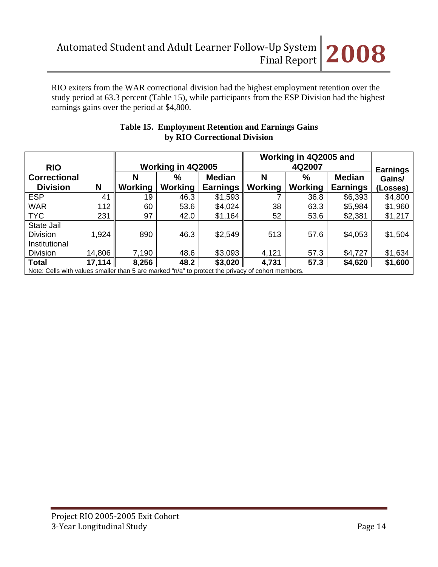RIO exiters from the WAR correctional division had the highest employment retention over the study period at 63.3 percent (Table 15), while participants from the ESP Division had the highest earnings gains over the period at \$4,800.

|                | Working in 4Q2005                             |                 |                | <b>Earnings</b> |                 |                                                                                                  |
|----------------|-----------------------------------------------|-----------------|----------------|-----------------|-----------------|--------------------------------------------------------------------------------------------------|
| N              | $\%$                                          | <b>Median</b>   | N              | $\%$            | <b>Median</b>   | Gains/                                                                                           |
| <b>Working</b> | <b>Working</b>                                | <b>Earnings</b> | <b>Working</b> | Working         | <b>Earnings</b> | (Losses)                                                                                         |
| 19             | 46.3                                          | \$1,593         |                | 36.8            | \$6,393         | \$4,800                                                                                          |
| 60             | 53.6                                          | \$4,024         | 38             | 63.3            | \$5,984         | \$1,960                                                                                          |
| 97             | 42.0                                          | \$1,164         | 52             | 53.6            | \$2,381         | \$1,217                                                                                          |
|                |                                               |                 |                |                 |                 |                                                                                                  |
| 890            | 46.3                                          | \$2,549         | 513            | 57.6            | \$4,053         | \$1,504                                                                                          |
|                |                                               |                 |                |                 |                 |                                                                                                  |
| 7,190          | 48.6                                          | \$3,093         | 4,121          | 57.3            | \$4,727         | \$1,634                                                                                          |
| 8,256          | 48.2                                          | \$3,020         | 4,731          | 57.3            | \$4,620         | \$1,600                                                                                          |
|                | 41<br>112<br>231<br>1,924<br>14,806<br>17,114 |                 |                |                 |                 | Note: Cells with values smaller than 5 are marked "n/a" to protect the privacy of cohort members |

# **Table 15. Employment Retention and Earnings Gains by RIO Correctional Division**

Note: Cells with values smaller than 5 are marked "n/a" to protect the privacy of cohort members.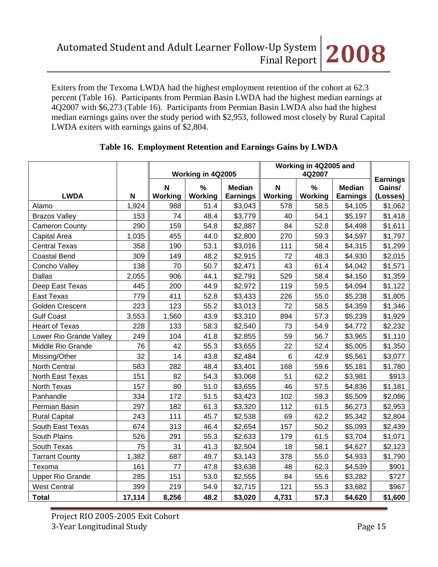Exiters from the Texoma LWDA had the highest employment retention of the cohort at 62.3 percent (Table 16). Participants from Permian Basin LWDA had the highest median earnings at 4Q2007 with \$6,273 (Table 16). Participants from Permian Basin LWDA also had the highest median earnings gains over the study period with \$2,953, followed most closely by Rural Capital LWDA exiters with earnings gains of \$2,804.

|                         |        | Working in 4Q2005 |         |                 | Working in 4Q2005 and | <b>Earnings</b> |                 |          |
|-------------------------|--------|-------------------|---------|-----------------|-----------------------|-----------------|-----------------|----------|
|                         |        | N                 | $\%$    | <b>Median</b>   | N                     | $\%$            | <b>Median</b>   | Gains/   |
| <b>LWDA</b>             | N      | Working           | Working | <b>Earnings</b> | <b>Working</b>        | Working         | <b>Earnings</b> | (Losses) |
| Alamo                   | 1,924  | 988               | 51.4    | \$3,043         | 578                   | 58.5            | \$4,105         | \$1,062  |
| <b>Brazos Valley</b>    | 153    | 74                | 48.4    | \$3,779         | 40                    | 54.1            | \$5,197         | \$1,418  |
| <b>Cameron County</b>   | 290    | 159               | 54.8    | \$2,887         | 84                    | 52.8            | \$4,498         | \$1,611  |
| Capital Area            | 1,035  | 455               | 44.0    | \$2,800         | 270                   | 59.3            | \$4,597         | \$1,797  |
| <b>Central Texas</b>    | 358    | 190               | 53.1    | \$3,016         | 111                   | 58.4            | \$4,315         | \$1,299  |
| <b>Coastal Bend</b>     | 309    | 149               | 48.2    | \$2,915         | 72                    | 48.3            | \$4,930         | \$2,015  |
| Concho Valley           | 138    | 70                | 50.7    | \$2,471         | 43                    | 61.4            | \$4,042         | \$1,571  |
| <b>Dallas</b>           | 2,055  | 906               | 44.1    | \$2,791         | 529                   | 58.4            | \$4,150         | \$1,359  |
| Deep East Texas         | 445    | 200               | 44.9    | \$2,972         | 119                   | 59.5            | \$4,094         | \$1,122  |
| <b>East Texas</b>       | 779    | 411               | 52.8    | \$3,433         | 226                   | 55.0            | \$5,238         | \$1,805  |
| <b>Golden Crescent</b>  | 223    | 123               | 55.2    | \$3,013         | 72                    | 58.5            | \$4,359         | \$1,346  |
| <b>Gulf Coast</b>       | 3,553  | 1,560             | 43.9    | \$3,310         | 894                   | 57.3            | \$5,239         | \$1,929  |
| <b>Heart of Texas</b>   | 228    | 133               | 58.3    | \$2,540         | 73                    | 54.9            | \$4,772         | \$2,232  |
| Lower Rio Grande Valley | 249    | 104               | 41.8    | \$2,855         | 59                    | 56.7            | \$3,965         | \$1,110  |
| Middle Rio Grande       | 76     | 42                | 55.3    | \$3,655         | 22                    | 52.4            | \$5,005         | \$1,350  |
| Missing/Other           | 32     | 14                | 43.8    | \$2,484         | 6                     | 42.9            | \$5,561         | \$3,077  |
| North Central           | 583    | 282               | 48.4    | \$3,401         | 168                   | 59.6            | \$5,181         | \$1,780  |
| North East Texas        | 151    | 82                | 54.3    | \$3,068         | 51                    | 62.2            | \$3,981         | \$913    |
| North Texas             | 157    | 80                | 51.0    | \$3,655         | 46                    | 57.5            | \$4,836         | \$1,181  |
| Panhandle               | 334    | 172               | 51.5    | \$3,423         | 102                   | 59.3            | \$5,509         | \$2,086  |
| Permian Basin           | 297    | 182               | 61.3    | \$3,320         | 112                   | 61.5            | \$6,273         | \$2,953  |
| <b>Rural Capital</b>    | 243    | 111               | 45.7    | \$2,538         | 69                    | 62.2            | \$5,342         | \$2,804  |
| South East Texas        | 674    | 313               | 46.4    | \$2,654         | 157                   | 50.2            | \$5,093         | \$2,439  |
| South Plains            | 526    | 291               | 55.3    | \$2,633         | 179                   | 61.5            | \$3,704         | \$1,071  |
| South Texas             | 75     | 31                | 41.3    | \$2,504         | 18                    | 58.1            | \$4,627         | \$2,123  |
| <b>Tarrant County</b>   | 1,382  | 687               | 49.7    | \$3,143         | 378                   | 55.0            | \$4,933         | \$1,790  |
| Texoma                  | 161    | 77                | 47.8    | \$3,638         | 48                    | 62.3            | \$4,539         | \$901    |
| <b>Upper Rio Grande</b> | 285    | 151               | 53.0    | \$2,555         | 84                    | 55.6            | \$3,282         | \$727    |
| <b>West Central</b>     | 399    | 219               | 54.9    | \$2,715         | 121                   | 55.3            | \$3,682         | \$967    |
| <b>Total</b>            | 17,114 | 8,256             | 48.2    | \$3,020         | 4,731                 | 57.3            | \$4,620         | \$1,600  |

#### **Table 16. Employment Retention and Earnings Gains by LWDA**

Project RIO 2005‐2005 Exit Cohort 3‐Year Longitudinal Study Page 15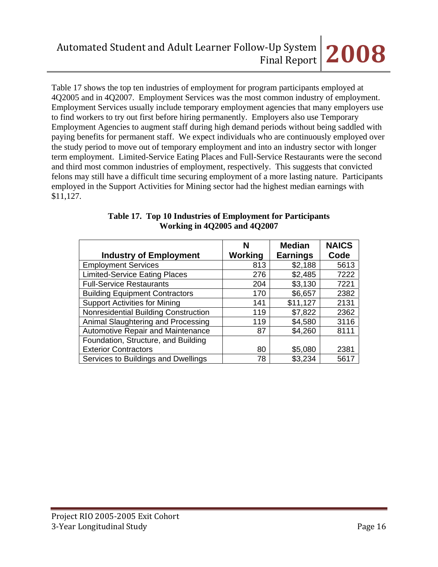Table 17 shows the top ten industries of employment for program participants employed at 4Q2005 and in 4Q2007. Employment Services was the most common industry of employment. Employment Services usually include temporary employment agencies that many employers use to find workers to try out first before hiring permanently. Employers also use Temporary Employment Agencies to augment staff during high demand periods without being saddled with paying benefits for permanent staff. We expect individuals who are continuously employed over the study period to move out of temporary employment and into an industry sector with longer term employment. Limited-Service Eating Places and Full-Service Restaurants were the second and third most common industries of employment, respectively. This suggests that convicted felons may still have a difficult time securing employment of a more lasting nature. Participants employed in the Support Activities for Mining sector had the highest median earnings with \$11,127.

|                                       | N              | <b>Median</b>   | <b>NAICS</b> |
|---------------------------------------|----------------|-----------------|--------------|
| <b>Industry of Employment</b>         | <b>Working</b> | <b>Earnings</b> | Code         |
| <b>Employment Services</b>            | 813            | \$2,188         | 5613         |
| <b>Limited-Service Eating Places</b>  | 276            | \$2,485         | 7222         |
| <b>Full-Service Restaurants</b>       | 204            | \$3,130         | 7221         |
| <b>Building Equipment Contractors</b> | 170            | \$6,657         | 2382         |
| <b>Support Activities for Mining</b>  | 141            | \$11,127        | 2131         |
| Nonresidential Building Construction  | 119            | \$7,822         | 2362         |
| Animal Slaughtering and Processing    | 119            | \$4,580         | 3116         |
| Automotive Repair and Maintenance     | 87             | \$4,260         | 8111         |
| Foundation, Structure, and Building   |                |                 |              |
| <b>Exterior Contractors</b>           | 80             | \$5,080         | 2381         |
| Services to Buildings and Dwellings   | 78             | \$3,234         | 5617         |

#### **Table 17. Top 10 Industries of Employment for Participants Working in 4Q2005 and 4Q2007**